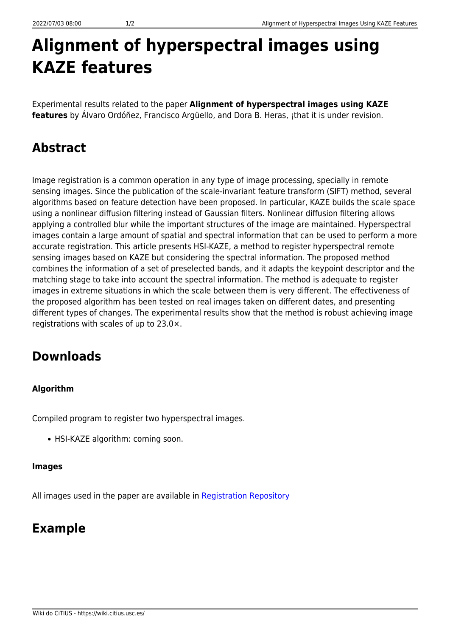# **Alignment of hyperspectral images using KAZE features**

Experimental results related to the paper **Alignment of hyperspectral images using KAZE features** by Álvaro Ordóñez, Francisco Argüello, and Dora B. Heras, ¡that it is under revision.

# **Abstract**

Image registration is a common operation in any type of image processing, specially in remote sensing images. Since the publication of the scale-invariant feature transform (SIFT) method, several algorithms based on feature detection have been proposed. In particular, KAZE builds the scale space using a nonlinear diffusion filtering instead of Gaussian filters. Nonlinear diffusion filtering allows applying a controlled blur while the important structures of the image are maintained. Hyperspectral images contain a large amount of spatial and spectral information that can be used to perform a more accurate registration. This article presents HSI-KAZE, a method to register hyperspectral remote sensing images based on KAZE but considering the spectral information. The proposed method combines the information of a set of preselected bands, and it adapts the keypoint descriptor and the matching stage to take into account the spectral information. The method is adequate to register images in extreme situations in which the scale between them is very different. The effectiveness of the proposed algorithm has been tested on real images taken on different dates, and presenting different types of changes. The experimental results show that the method is robust achieving image registrations with scales of up to 23.0×.

## **Downloads**

#### **Algorithm**

Compiled program to register two hyperspectral images.

• HSI-KAZE algorithm: coming soon.

#### **Images**

All images used in the paper are available in [Registration Repository](https://gitlab.citius.usc.es/hiperespectral/RegistrationRepository)

### **Example**